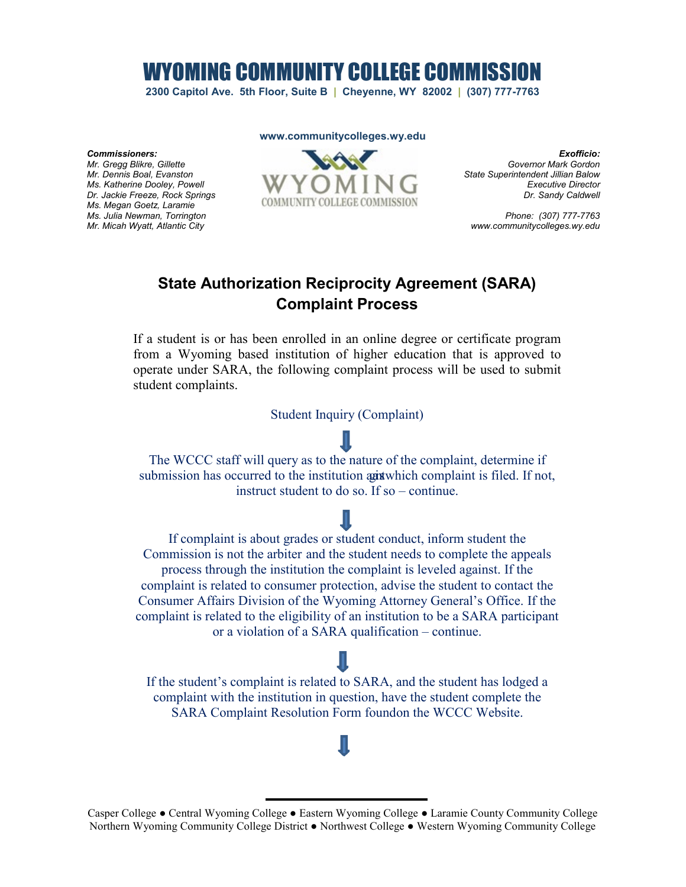WYOMING COMMUNITY COLLEGE COMMISSI

**2300 Capitol Ave. 5th Floor, Suite B | Cheyenne, WY 82002 | (307) 777-7763**

### **www.communitycolleges.wy.edu**

*Commissioners:* 

*Mr. Gregg Blikre, Gillette Mr. Dennis Boal, Evanston Ms. Katherine Dooley, Powell Dr. Jackie Freeze, Rock Springs Ms. Megan Goetz, Laramie Ms. Julia Newman, Torrington Mr. Micah Wyatt, Atlantic City*



*Exofficio: Governor Mark Gordon State Superintendent Jillian Balow Executive Director Dr. Sandy Caldwell*

*Phone: (307) 777-7763 www.communitycolleges.wy.edu*

# **State Authorization Reciprocity Agreement (SARA) Complaint Process**

If a student is or has been enrolled in an online degree or certificate program from a Wyoming based institution of higher education that is approved to operate under SARA, the following complaint process will be used to submit student complaints.

Student Inquiry (Complaint)



If complaint is about grades or student conduct, inform student the Commission is not the arbiter and the student needs to complete the appeals process through the institution the complaint is leveled against. If the complaint is related to consumer protection, advise the student to contact the Consumer Affairs Division of the Wyoming Attorney General's Office. If the complaint is related to the eligibility of an institution to be a SARA participant or a violation of a SARA qualification – continue.

If the student's complaint is related to SARA, and the student has lodged a complaint with the institution in question, have the student complete the SARA Complaint Resolution Form foundon the WCCC Website.

Casper College ● Central Wyoming College ● Eastern Wyoming College ● Laramie County Community College Northern Wyoming Community College District ● Northwest College ● Western Wyoming Community College